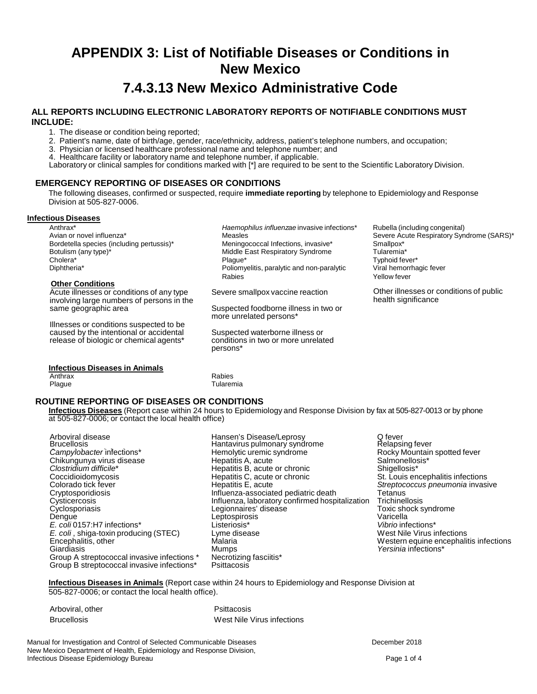# **APPENDIX 3: List of Notifiable Diseases or Conditions in New Mexico**

# **7.4.3.13 New Mexico Administrative Code**

## **ALL REPORTS INCLUDING ELECTRONIC LABORATORY REPORTS OF NOTIFIABLE CONDITIONS MUST INCLUDE:**

- 1. The disease or condition being reported;
- 2. Patient's name, date of birth/age, gender, race/ethnicity, address, patient's telephone numbers, and occupation;
- 3. Physician or licensed healthcare professional name and telephone number; and

4. Healthcare facility or laboratory name and telephone number, if applicable.

Laboratory or clinical samples for conditions marked with [\*] are required to be sent to the Scientific Laboratory Division.

# **EMERGENCY REPORTING OF DISEASES OR CONDITIONS**

The following diseases, confirmed or suspected, require **immediate reporting** by telephone to Epidemiology and Response Division at 505-827-0006.

#### **Infectious Diseases**

Bordetella species (including pertussis)\* Meningococcal Infections, invasive\* Smallpox\* Botulism (any type)\* <br>Cholera\* Tularemia\* Plaque\* Plaque\* Plaque\* Plaque Typhoid fever\* Cholera\* Plague\* Typhoid fever\*

#### **Other Conditions**

Acute illnesses or conditions of any type involving large numbers of persons in the same geographic area

Illnesses or conditions suspected to be caused by the intentional or accidental release of biologic or chemical agents\*

Anthrax\* *Haemophilus influenzae* invasive infections\* Rubella (including congenital)

Diphtheria\* Poliomyelitis, paralytic and non-paralytic Viral hemorrhagic fever Rabies **Nabies Property Rabies Property Property Property Property Property Property Property Property Property Property Property Property Property Property Property Property Property** 

Severe smallpox vaccine reaction

Suspected foodborne illness in two or more unrelated persons\*

Suspected waterborne illness or conditions in two or more unrelated persons\*

Severe Acute Respiratory Syndrome (SARS)\*<br>Smallpox\*

Other illnesses or conditions of public health significance

Anthrax Rabies **Infectious Diseases in Animals**

Tularemia

# **ROUTINE REPORTING OF DISEASES OR CONDITIONS**

**Infectious Diseases** (Report case within 24 hours to Epidemiology and Response Division by fax at 505-827-0013 or by phone at 505-827-0006; or contact the local health office)

Arboviral disease Hansen's Disease/Leprosy Q fever<br>Brucellosis Hantavirus pulmonary syndrome Relapsing fever **Brucellosis** *Campylobacter* infections\* Coccidioidomycosis<br>
Coccidioidomycosis<br>
Colorado tick fever<br>
Hepatitis E, acute or chronic Colorado tick fever *E. coli*, shiga-toxin producing (STEC) Lyme di<br>Encephalitis, other Nile Virus Malaria Group B streptococcal invasive infections<sup>\*</sup> Psittacosis<sup>\*</sup>

*Hemolytic uremic syndrome*<br> *Hepatitis A, acute*<br> *Calmonellosis\** Chikungunya virus disease eta eta erreferentzia Hepatitis A, acute eta erreferentziarrako Salmonellosis\* Clostridium difficile<sup>\*</sup> The Previous Hepatitis B, acute or chronic The Shigellosis<sup>\*</sup><br>Coccidioidomycosis The Hepatitis C, acute or chronic The St. Louis encephalitis infections Colorado tick fever **Figure 2018** Hepatitis E, acute **Figure 2018** Streptococcus pneumonia invasive<br>Cryptosporidiosis **Figure 2018** Influenza-associated pediatric death Tetanus Cryptosporidiosis Influenza-associated pediatric death Tetanus<br>Cysticercosis Influenza, laboratory confirmed hospitalization Trichinellosis Cysticercosis **Influenza, laboratory confirmed hospitalization** Trichinellosis<br>Cyclosporiasis **Influenza, Influenza, Influenza, Influenza**, Insuranzia, Insuranzia, Insuranzia, Insuranzia, In Cyclosporiasis Legionnaires' disease Toxic shock syndrome Dengue Leptospirosis Varicella *E. coli* 0157:H7 infections\* Listeriosis\* *Vibrio* infections\* Encephalitis, other **Malaria** Malaria Messer Mestern equine encephalitis infections<br>
Giardiasis Mumps Mumps Mumps Messinia infections<sup>\*</sup> Giardiasis Mumps *Yersinia* infections\*

Rocky Mountain spotted fever

**Infectious Diseases in Animals** (Report case within 24 hours to Epidemiology and Response Division at 505-827-0006; or contact the local health office).

Arboviral, other **Psittacosis** 

Brucellosis West Nile Virus infections

Manual for Investigation and Control of Selected Communicable Diseases Manual Communicable December 2018 New Mexico Department of Health, Epidemiology and Response Division, Infectious Disease Epidemiology Bureau **Page 1 of 4** and 2001 and 2008 and 2008 and 2008 and 2008 and 2008 and 200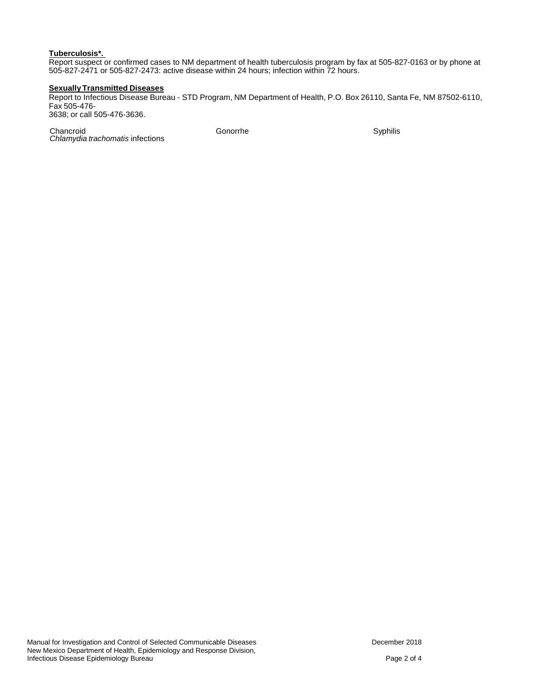## **Tuberculosis\*.**

Report suspect or confirmed cases to NM department of health tuberculosis program by fax at 505-827-0163 or by phone at 505-827-2471 or 505-827-2473: active disease within 24 hours; infection within 72 hours.

#### **SexuallyTransmitted Diseases**

Report to Infectious Disease Bureau - STD Program, NM Department of Health, P.O. Box 26110, Santa Fe, NM 87502-6110, Fax 505-476- 3638; or call 505-476-3636.

Chancroid Gonorrhe Syphilis *Chlamydia trachomatis* infections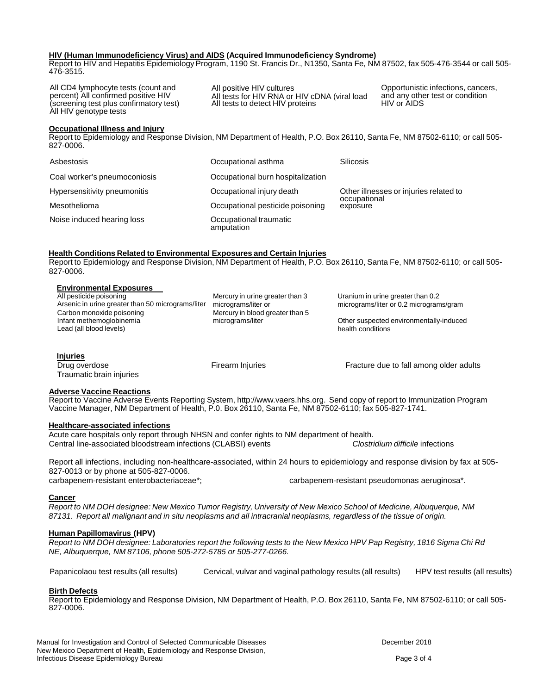#### **HIV (Human Immunodeficiency Virus) and AIDS (Acquired Immunodeficiency Syndrome)**

Report to HIV and Hepatitis Epidemiology Program, 1190 St. Francis Dr., N1350, Santa Fe, NM 87502, fax 505-476-3544 or call 505- 476-3515.

All CD4 lymphocyte tests (count and percent) All confirmed positive HIV (screening test plus confirmatory test) All HIV genotype tests

All positive HIV cultures All tests for HIV RNA or HIV cDNA (viral load All tests to detect HIV proteins

Opportunistic infections, cancers, and any other test or condition<br>HIV or AIDS

#### **Occupational Illness and Injury**

Report to Epidemiology and Response Division, NM Department of Health, P.O. Box 26110, Santa Fe, NM 87502-6110; or call 505- 827-0006.

| Asbestosis                   | Occupational asthma                  | <b>Silicosis</b>                                                   |
|------------------------------|--------------------------------------|--------------------------------------------------------------------|
| Coal worker's pneumoconiosis | Occupational burn hospitalization    |                                                                    |
| Hypersensitivity pneumonitis | Occupational injury death            | Other illnesses or injuries related to<br>occupational<br>exposure |
| Mesothelioma                 | Occupational pesticide poisoning     |                                                                    |
| Noise induced hearing loss   | Occupational traumatic<br>amputation |                                                                    |

#### **Health Conditions Related to Environmental Exposures and Certain Injuries**

Report to Epidemiology and Response Division, NM Department of Health, P.O. Box 26110, Santa Fe, NM 87502-6110; or call 505- 827-0006.

# **Environmental Exposures**

All pesticide poisoning Arsenic in urine greater than 50 micrograms/liter Carbon monoxide poisoning Infant methemoglobinemia Lead (all blood levels)

Mercury in urine greater than 3 micrograms/liter or Mercury in blood greater than 5

Uranium in urine greater than 0.2 micrograms/liter or 0.2 micrograms/gram

micrograms/liter **Contact Contact Contact Contact Contact Contact Contact Contact Contact Contact Contact Contact Contact Contact Contact Contact Contact Contact Contact Contact Contact Contact Contact Contact Contact Cont** health conditions

**Injuries** Traumatic brain injuries

Firearm Injuries Fracture due to fall among older adults

### **Adverse Vaccine Reactions**

Report to Vaccine Adverse Events Reporting System, [http://www.vaers.hhs.org.](http://www.vaers.hhs.org/) Send copy of report to Immunization Program Vaccine Manager, NM Department of Health, P.0. Box 26110, Santa Fe, NM 87502-6110; fax 505-827-1741.

#### **Healthcare-associated infections**

Acute care hospitals only report through NHSN and confer rights to NM department of health. Central line-associated bloodstream infections (CLABSI) events *Clostridium difficile* infections

Report all infections, including non-healthcare-associated, within 24 hours to epidemiology and response division by fax at 505- 827-0013 or by phone at 505-827-0006.<br>carbapenem-resistant enterobacteriaceae\*: carbapenem-resistant pseudomonas aeruginosa\*.

#### **Cancer**

Report to NM DOH designee: New Mexico Tumor Registry, University of New Mexico School of Medicine, Albuquerque, NM 87131. Report all malignant and in situ neoplasms and all intracranial neoplasms, regardless of the tissue of origin.

### **Human Papillomavirus (HPV)**

Report to NM DOH designee: Laboratories report the following tests to the New Mexico HPV Pap Registry, 1816 Sigma Chi Rd *NE, Albuquerque, NM 87106, phone 505-272-5785 or 505-277-0266.*

Papanicolaou test results (all results) Cervical, vulvar and vaginal pathology results (all results) HPV test results (all results)

### **Birth Defects**

Report to Epidemiology and Response Division, NM Department of Health, P.O. Box 26110, Santa Fe, NM 87502-6110; or call 505- 827-0006.

Manual for Investigation and Control of Selected Communicable Diseases **December 2018** December 2018 New Mexico Department of Health, Epidemiology and Response Division, Infectious Disease Epidemiology Bureau **Page 3 of 4** and 2001 and 2008 and 2008 and 2008 and 2008 and 2008 and 2008 and 2008 and 2008 and 2008 and 2008 and 2008 and 2008 and 2008 and 2008 and 2008 and 2008 and 2008 and 200